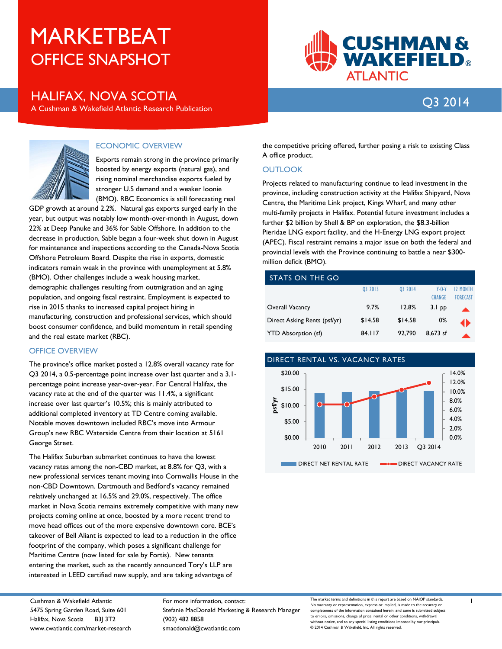# OFFICE SNAPSHOT MARKETBEAT

# HALIFAX, NOVA SCOTIA

A Cushman & Wakefield Atlantic Research Publication



# Q3 2014



## ECONOMIC OVERVIEW

Exports remain strong in the province primarily boosted by energy exports (natural gas), and rising nominal merchandise exports fueled by stronger U.S demand and a weaker loonie (BMO). RBC Economics is still forecasting real

GDP growth at around 2.2%. Natural gas exports surged early in the year, but output was notably low month-over-month in August, down 22% at Deep Panuke and 36% for Sable Offshore. In addition to the decrease in production, Sable began a four-week shut down in August for maintenance and inspections according to the Canada-Nova Scotia Offshore Petroleum Board. Despite the rise in exports, domestic indicators remain weak in the province with unemployment at 5.8% (BMO). Other challenges include a weak housing market, demographic challenges resulting from outmigration and an aging population, and ongoing fiscal restraint. Employment is expected to rise in 2015 thanks to increased capital project hiring in manufacturing, construction and professional services, which should boost consumer confidence, and build momentum in retail spending and the real estate market (RBC).

#### OFFICE OVERVIEW

The province's office market posted a 12.8% overall vacancy rate for Q3 2014, a 0.5-percentage point increase over last quarter and a 3.1 percentage point increase year-over-year. For Central Halifax, the vacancy rate at the end of the quarter was 11.4%, a significant increase over last quarter's 10.5%; this is mainly attributed to additional completed inventory at TD Centre coming available. Notable moves downtown included RBC's move into Armour Group's new RBC Waterside Centre from their location at 5161 George Street.

The Halifax Suburban submarket continues to have the lowest vacancy rates among the non-CBD market, at 8.8% for Q3, with a new professional services tenant moving into Cornwallis House in the non-CBD Downtown. Dartmouth and Bedford's vacancy remained relatively unchanged at 16.5% and 29.0%, respectively. The office market in Nova Scotia remains extremely competitive with many new projects coming online at once, boosted by a more recent trend to move head offices out of the more expensive downtown core. BCE's takeover of Bell Aliant is expected to lead to a reduction in the office footprint of the company, which poses a significant challenge for Maritime Centre (now listed for sale by Fortis). New tenants entering the market, such as the recently announced Tory's LLP are interested in LEED certified new supply, and are taking advantage of

the competitive pricing offered, further posing a risk to existing Class A office product.

### **OUTLOOK**

Projects related to manufacturing continue to lead investment in the province, including construction activity at the Halifax Shipyard, Nova Centre, the Maritime Link project, Kings Wharf, and many other multi-family projects in Halifax. Potential future investment includes a further \$2 billion by Shell & BP on exploration, the \$8.3-billion Pieridae LNG export facility, and the H-Energy LNG export project (APEC). Fiscal restraint remains a major issue on both the federal and provincial levels with the Province continuing to battle a near \$300 million deficit (BMO).

| STATS ON THE GO              |         |         |               |                 |  |  |  |
|------------------------------|---------|---------|---------------|-----------------|--|--|--|
|                              | 03 2013 | 03 2014 | $Y - Q - Y$   | <b>12 MONTH</b> |  |  |  |
|                              |         |         | <b>CHANGE</b> | <b>FORECAST</b> |  |  |  |
| Overall Vacancy              | 9.7%    | 12.8%   | $3.1$ pp      |                 |  |  |  |
| Direct Asking Rents (psf/yr) | \$14.58 | \$14.58 | 0%            |                 |  |  |  |
| <b>YTD Absorption (sf)</b>   | 84.117  | 92.790  | 8.673 sf      |                 |  |  |  |



Cushman & Wakefield Atlantic 5475 Spring Garden Road, Suite 601 Halifax, Nova Scotia B3J 3T2 www.cwatlantic.com/market-research For more information, contact: Stefanie MacDonald Marketing & Research Manager (902) 482 8858 smacdonald@cwatlantic.com

The market terms and definitions in this report are based on NAIOP standards. No warranty or representation, express or implied, is made to the accura completeness of the information contained herein, and same is submitted subject to errors, omissions, change of price, rental or other conditions, withdrawal without notice, and to any special listing conditions imposed by our principals. © 2014 Cushman & Wakefield, Inc. All rights reserved.

1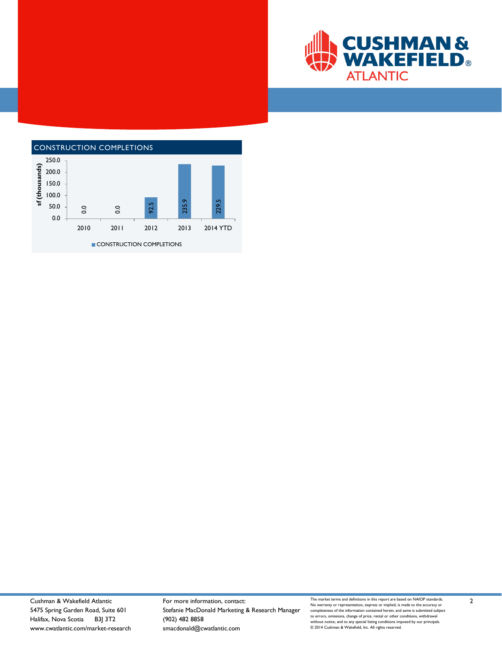